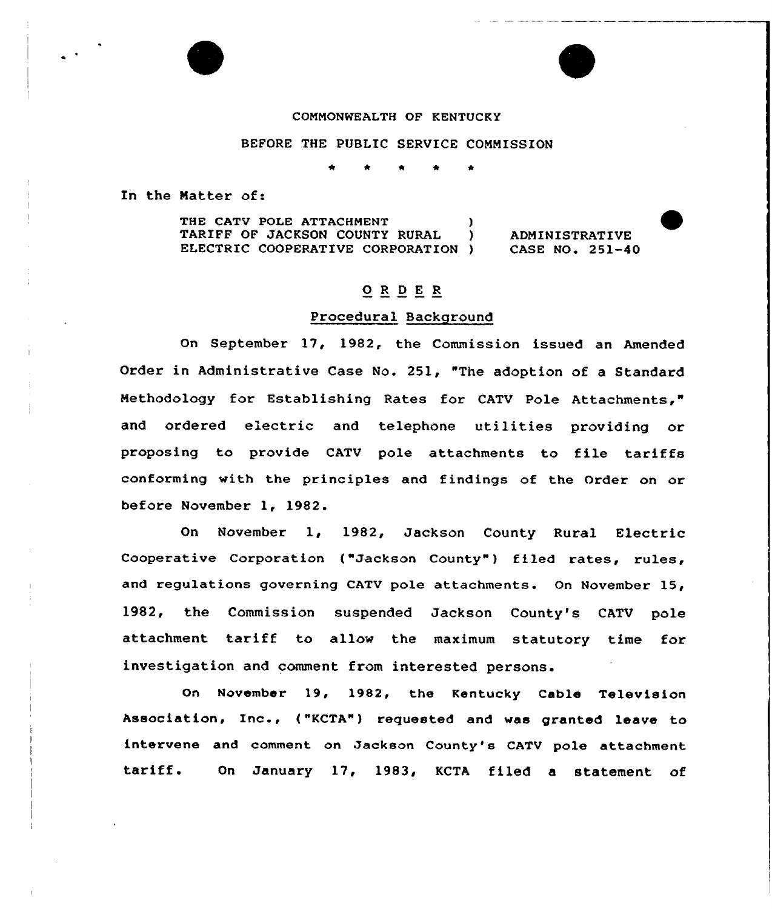## COMMONWEALTH OF KENTUCKY

### BEFORE THE PUBLIC SERVICE COMMISSION

\* \*

In the Matter of:

THE CATV POLE ATTACHMENT (1998)<br>TARIFF OF JACKSON COUNTY RURAL (1998) TARIFF OF JACKSON COUNTY RURAL ELECTRIC COOPERATIVE CORPORATION ADMINISTRATIVE CASE NO. 251-40

# $\underline{O}$  R  $\underline{D}$  E R

## Procedural Background

On September 17, 1982, the Commission issued an Amended Order in Administrative Case No. 251, "The adoption of a Standard Methodology for Establishing Rates for CATV Pole Attachments," and ordered electric and telephone utilities providing or proposing to provide CATV pole attachments to file tariffs conforming with the principles and findings of the Order on or before November 1, 1982.

On November 1, 1982, Jackson County Rural Electric Cooperative Corporation ("Jackson County") filed rates, rules, and regulations governing CATV pole attachments. On November 15, 1982, the Commission suspended Jackson County's CATV pole attachment tariff to allow the maximum statutory time for investigation and comment from interested persons.

On November 19, 1982, the Kentucky Cable Television Association, Inc., ("KCTA") requested and was granted leave to intervene and comment on Jackson County's CATV pole attachment tariff. On January 17, 1983, KCTA filed <sup>a</sup> statement of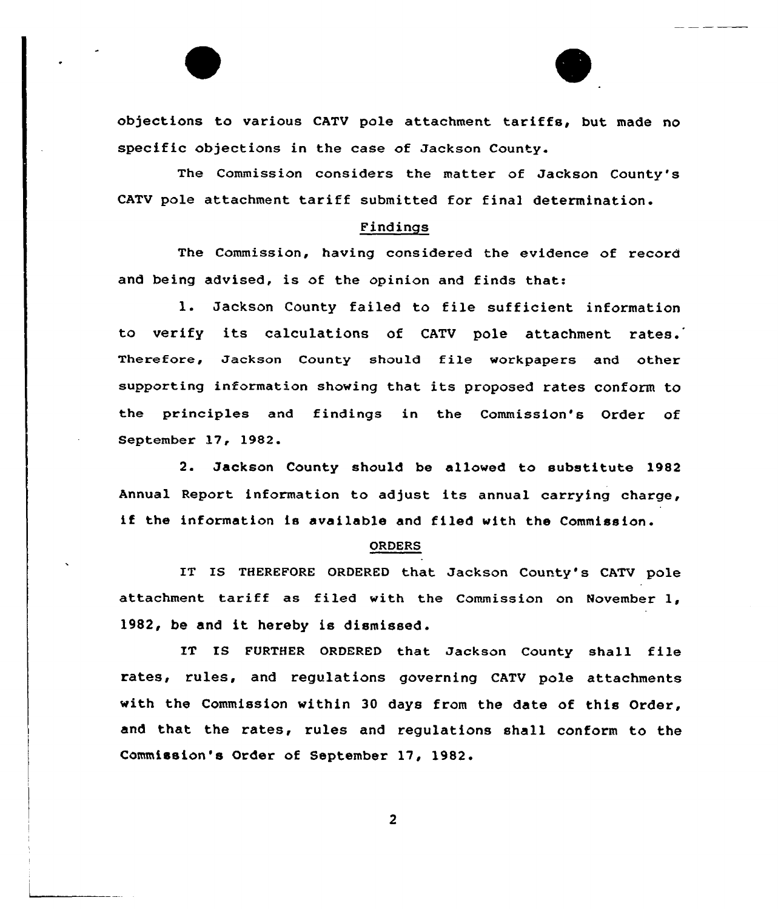objections to various CATV pole attachment tariffs, but made no specific objections in the case of Jackson County.

The Commission considers the matter of Jackson County's CATV pole attachment tariff submitted for final determination.

#### Findings

The Commission, having considered the evidence of record and being advised, is of the opinion and finds that:

l. Jackson County failed to file sufficient information to verify its calculations of CATV pole attachment rates. Therefore, Jackson County should file workpapers and other supporting information showing that its proposed rates conform to the principles and findings in the Commission's Order of September 17, 1982.

2. Jackson County should be allowed to substitute 1982 Annual Report information to adjust its annual carrying charge, if the information is available and filed with the Commission.

#### ORDERS

1T IS THEREFORE ORDERED that Jackson County's CATV pole attachment tariff as filed with the Commission on November 1, 1982, be and it hereby is dismissed.

IT IS FURTHER ORDERED that Jackson County shall file rates, rules, and regulations governing CATV pole attachments with the Commission within 30 days from the date of this Order, and that the rates, rules and regulations shall conform to the Commission's Order of September 17, 1982.

 $\overline{2}$